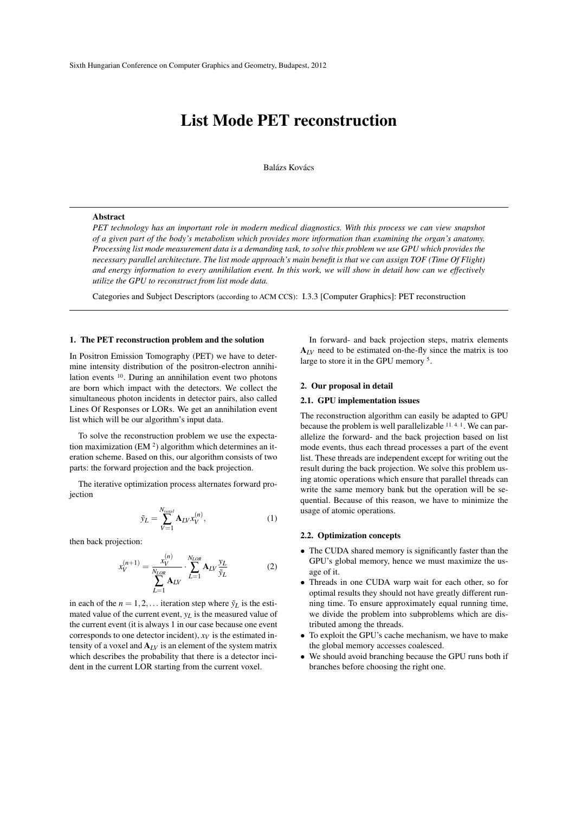# List Mode PET reconstruction

Balázs Kovács

#### Abstract

*PET technology has an important role in modern medical diagnostics. With this process we can view snapshot of a given part of the body's metabolism which provides more information than examining the organ's anatomy. Processing list mode measurement data is a demanding task, to solve this problem we use GPU which provides the necessary parallel architecture. The list mode approach's main benefit is that we can assign TOF (Time Of Flight) and energy information to every annihilation event. In this work, we will show in detail how can we effectively utilize the GPU to reconstruct from list mode data.*

Categories and Subject Descriptors (according to ACM CCS): I.3.3 [Computer Graphics]: PET reconstruction

#### 1. The PET reconstruction problem and the solution

In Positron Emission Tomography (PET) we have to determine intensity distribution of the positron-electron annihilation events <sup>10</sup>. During an annihilation event two photons are born which impact with the detectors. We collect the simultaneous photon incidents in detector pairs, also called Lines Of Responses or LORs. We get an annihilation event list which will be our algorithm's input data.

To solve the reconstruction problem we use the expectation maximization (EM <sup>2</sup> ) algorithm which determines an iteration scheme. Based on this, our algorithm consists of two parts: the forward projection and the back projection.

The iterative optimization process alternates forward projection

$$
\tilde{y}_L = \sum_{V=1}^{N_{voxel}} \mathbf{A}_{LV} x_V^{(n)},\tag{1}
$$

then back projection:

$$
x_V^{(n+1)} = \frac{x_V^{(n)}}{\sum_{L=1}^{N_{LOR}} A_{LV}} \cdot \sum_{L=1}^{N_{LOR}} A_{LV} \frac{y_L}{\tilde{y}_L}
$$
(2)

in each of the  $n = 1, 2, \ldots$  iteration step where  $\tilde{y}_L$  is the estimated value of the current event, *yL* is the measured value of the current event (it is always 1 in our case because one event corresponds to one detector incident),  $x_V$  is the estimated intensity of a voxel and  $A_{LV}$  is an element of the system matrix which describes the probability that there is a detector incident in the current LOR starting from the current voxel.

In forward- and back projection steps, matrix elements  $A_{IV}$  need to be estimated on-the-fly since the matrix is too large to store it in the GPU memory <sup>5</sup> .

# 2. Our proposal in detail

#### 2.1. GPU implementation issues

The reconstruction algorithm can easily be adapted to GPU because the problem is well parallelizable <sup>11</sup>*,* <sup>4</sup>*,* <sup>1</sup> . We can parallelize the forward- and the back projection based on list mode events, thus each thread processes a part of the event list. These threads are independent except for writing out the result during the back projection. We solve this problem using atomic operations which ensure that parallel threads can write the same memory bank but the operation will be sequential. Because of this reason, we have to minimize the usage of atomic operations.

### 2.2. Optimization concepts

- The CUDA shared memory is significantly faster than the GPU's global memory, hence we must maximize the usage of it.
- *•* Threads in one CUDA warp wait for each other, so for optimal results they should not have greatly different running time. To ensure approximately equal running time, we divide the problem into subproblems which are distributed among the threads.
- *•* To exploit the GPU's cache mechanism, we have to make the global memory accesses coalesced.
- *•* We should avoid branching because the GPU runs both if branches before choosing the right one.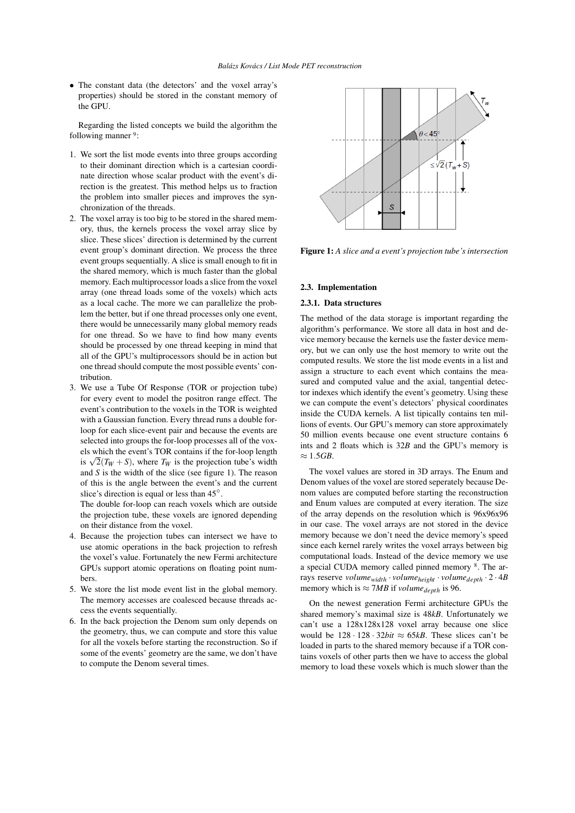• The constant data (the detectors' and the voxel array's properties) should be stored in the constant memory of the GPU.

Regarding the listed concepts we build the algorithm the following manner <sup>9</sup>:

- 1. We sort the list mode events into three groups according to their dominant direction which is a cartesian coordinate direction whose scalar product with the event's direction is the greatest. This method helps us to fraction the problem into smaller pieces and improves the synchronization of the threads.
- 2. The voxel array is too big to be stored in the shared memory, thus, the kernels process the voxel array slice by slice. These slices' direction is determined by the current event group's dominant direction. We process the three event groups sequentially. A slice is small enough to fit in the shared memory, which is much faster than the global memory. Each multiprocessor loads a slice from the voxel array (one thread loads some of the voxels) which acts as a local cache. The more we can parallelize the problem the better, but if one thread processes only one event, there would be unnecessarily many global memory reads for one thread. So we have to find how many events should be processed by one thread keeping in mind that all of the GPU's multiprocessors should be in action but one thread should compute the most possible events' contribution.
- 3. We use a Tube Of Response (TOR or projection tube) for every event to model the positron range effect. The event's contribution to the voxels in the TOR is weighted with a Gaussian function. Every thread runs a double forloop for each slice-event pair and because the events are selected into groups the for-loop processes all of the voxels which the event's TOR contains if the for-loop length is  $\sqrt{2}(T_W + S)$ , where  $T_W$  is the projection tube's width and *S* is the width of the slice (see figure 1). The reason of this is the angle between the event's and the current slice's direction is equal or less than 45*◦* .

The double for-loop can reach voxels which are outside the projection tube, these voxels are ignored depending on their distance from the voxel.

- 4. Because the projection tubes can intersect we have to use atomic operations in the back projection to refresh the voxel's value. Fortunately the new Fermi architecture GPUs support atomic operations on floating point numbers.
- 5. We store the list mode event list in the global memory. The memory accesses are coalesced because threads access the events sequentially.
- 6. In the back projection the Denom sum only depends on the geometry, thus, we can compute and store this value for all the voxels before starting the reconstruction. So if some of the events' geometry are the same, we don't have to compute the Denom several times.



Figure 1: *A slice and a event's projection tube's intersection*

### 2.3. Implementation

#### 2.3.1. Data structures

The method of the data storage is important regarding the algorithm's performance. We store all data in host and device memory because the kernels use the faster device memory, but we can only use the host memory to write out the computed results. We store the list mode events in a list and assign a structure to each event which contains the measured and computed value and the axial, tangential detector indexes which identify the event's geometry. Using these we can compute the event's detectors' physical coordinates inside the CUDA kernels. A list tipically contains ten millions of events. Our GPU's memory can store approximately 50 million events because one event structure contains 6 ints and 2 floats which is 32*B* and the GPU's memory is *≈* 1*.*5*GB*.

The voxel values are stored in 3D arrays. The Enum and Denom values of the voxel are stored seperately because Denom values are computed before starting the reconstruction and Enum values are computed at every iteration. The size of the array depends on the resolution which is 96x96x96 in our case. The voxel arrays are not stored in the device memory because we don't need the device memory's speed since each kernel rarely writes the voxel arrays between big computational loads. Instead of the device memory we use a special CUDA memory called pinned memory <sup>8</sup> . The arrays reserve *volumewidth · volumeheight · volumedepth ·* 2 *·* 4*B* memory which is  $\approx$  7*MB* if *volume*<sub>depth</sub> is 96.

On the newest generation Fermi architecture GPUs the shared memory's maximal size is 48*kB*. Unfortunately we can't use a 128x128x128 voxel array because one slice would be  $128 \cdot 128 \cdot 32bit \approx 65kB$ . These slices can't be loaded in parts to the shared memory because if a TOR contains voxels of other parts then we have to access the global memory to load these voxels which is much slower than the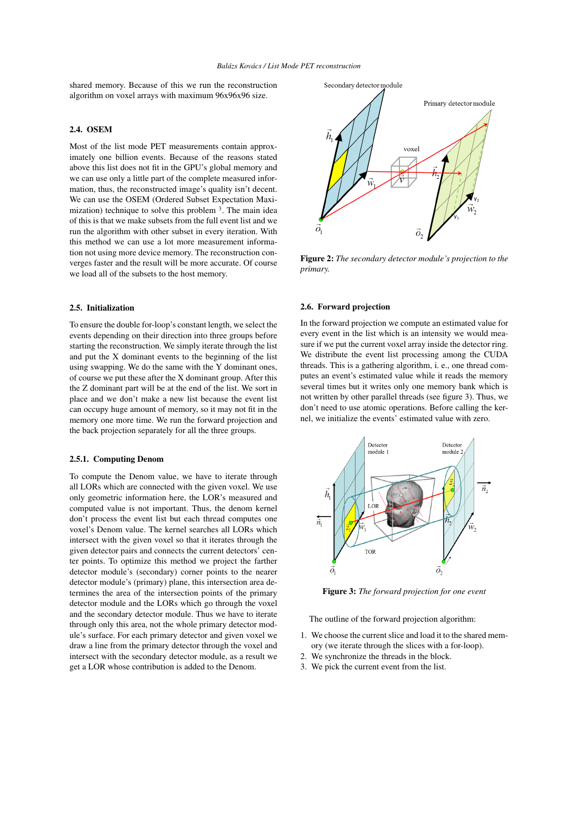shared memory. Because of this we run the reconstruction algorithm on voxel arrays with maximum 96x96x96 size.

# 2.4. OSEM

Most of the list mode PET measurements contain approximately one billion events. Because of the reasons stated above this list does not fit in the GPU's global memory and we can use only a little part of the complete measured information, thus, the reconstructed image's quality isn't decent. We can use the OSEM (Ordered Subset Expectation Maximization) technique to solve this problem <sup>3</sup>. The main idea of this is that we make subsets from the full event list and we run the algorithm with other subset in every iteration. With this method we can use a lot more measurement information not using more device memory. The reconstruction converges faster and the result will be more accurate. Of course we load all of the subsets to the host memory.

# 2.5. Initialization

To ensure the double for-loop's constant length, we select the events depending on their direction into three groups before starting the reconstruction. We simply iterate through the list and put the X dominant events to the beginning of the list using swapping. We do the same with the Y dominant ones, of course we put these after the X dominant group. After this the Z dominant part will be at the end of the list. We sort in place and we don't make a new list because the event list can occupy huge amount of memory, so it may not fit in the memory one more time. We run the forward projection and the back projection separately for all the three groups.

#### 2.5.1. Computing Denom

To compute the Denom value, we have to iterate through all LORs which are connected with the given voxel. We use only geometric information here, the LOR's measured and computed value is not important. Thus, the denom kernel don't process the event list but each thread computes one voxel's Denom value. The kernel searches all LORs which intersect with the given voxel so that it iterates through the given detector pairs and connects the current detectors' center points. To optimize this method we project the farther detector module's (secondary) corner points to the nearer detector module's (primary) plane, this intersection area determines the area of the intersection points of the primary detector module and the LORs which go through the voxel and the secondary detector module. Thus we have to iterate through only this area, not the whole primary detector module's surface. For each primary detector and given voxel we draw a line from the primary detector through the voxel and intersect with the secondary detector module, as a result we get a LOR whose contribution is added to the Denom.



Figure 2: *The secondary detector module's projection to the primary.*

# 2.6. Forward projection

In the forward projection we compute an estimated value for every event in the list which is an intensity we would measure if we put the current voxel array inside the detector ring. We distribute the event list processing among the CUDA threads. This is a gathering algorithm, i. e., one thread computes an event's estimated value while it reads the memory several times but it writes only one memory bank which is not written by other parallel threads (see figure 3). Thus, we don't need to use atomic operations. Before calling the kernel, we initialize the events' estimated value with zero.



Figure 3: *The forward projection for one event*

The outline of the forward projection algorithm:

- 1. We choose the current slice and load it to the shared memory (we iterate through the slices with a for-loop).
- 2. We synchronize the threads in the block.
- 3. We pick the current event from the list.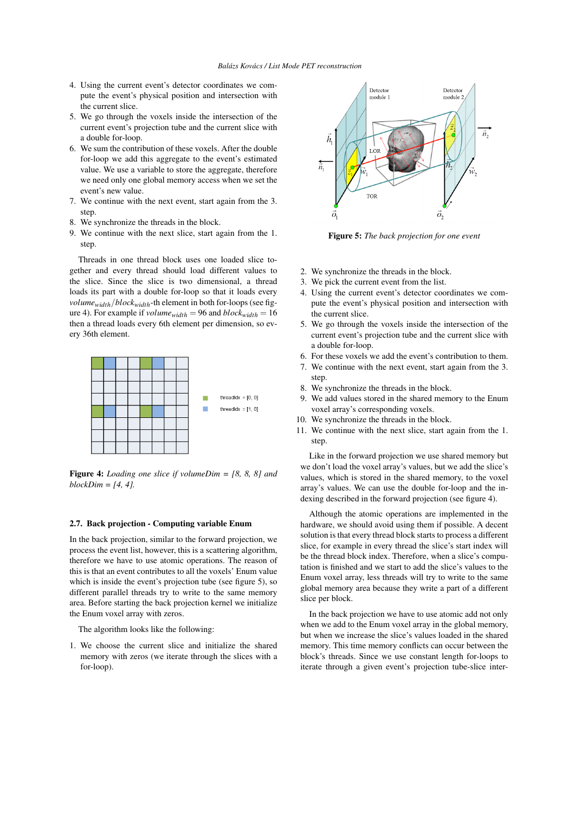- 4. Using the current event's detector coordinates we compute the event's physical position and intersection with the current slice.
- 5. We go through the voxels inside the intersection of the current event's projection tube and the current slice with a double for-loop.
- 6. We sum the contribution of these voxels. After the double for-loop we add this aggregate to the event's estimated value. We use a variable to store the aggregate, therefore we need only one global memory access when we set the event's new value.
- 7. We continue with the next event, start again from the 3. step.
- 8. We synchronize the threads in the block.
- 9. We continue with the next slice, start again from the 1. step.

Threads in one thread block uses one loaded slice together and every thread should load different values to the slice. Since the slice is two dimensional, a thread loads its part with a double for-loop so that it loads every *volumewidth/blockwidth*-th element in both for-loops (see figure 4). For example if  $volume_{width} = 96$  and  $block_{width} = 16$ then a thread loads every 6th element per dimension, so every 36th element.



Figure 4: *Loading one slice if volumeDim = [8, 8, 8] and blockDim = [4, 4].*

# 2.7. Back projection - Computing variable Enum

In the back projection, similar to the forward projection, we process the event list, however, this is a scattering algorithm, therefore we have to use atomic operations. The reason of this is that an event contributes to all the voxels' Enum value which is inside the event's projection tube (see figure 5), so different parallel threads try to write to the same memory area. Before starting the back projection kernel we initialize the Enum voxel array with zeros.

The algorithm looks like the following:

1. We choose the current slice and initialize the shared memory with zeros (we iterate through the slices with a for-loop).



Figure 5: *The back projection for one event*

- 2. We synchronize the threads in the block.
- 3. We pick the current event from the list.
- 4. Using the current event's detector coordinates we compute the event's physical position and intersection with the current slice.
- 5. We go through the voxels inside the intersection of the current event's projection tube and the current slice with a double for-loop.
- 6. For these voxels we add the event's contribution to them.
- 7. We continue with the next event, start again from the 3. step.
- 8. We synchronize the threads in the block.
- We add values stored in the shared memory to the Enum voxel array's corresponding voxels.
- 10. We synchronize the threads in the block.
- 11. We continue with the next slice, start again from the 1. step.

Like in the forward projection we use shared memory but we don't load the voxel array's values, but we add the slice's values, which is stored in the shared memory, to the voxel array's values. We can use the double for-loop and the indexing described in the forward projection (see figure 4).

Although the atomic operations are implemented in the hardware, we should avoid using them if possible. A decent solution is that every thread block starts to process a different slice, for example in every thread the slice's start index will be the thread block index. Therefore, when a slice's computation is finished and we start to add the slice's values to the Enum voxel array, less threads will try to write to the same global memory area because they write a part of a different slice per block.

In the back projection we have to use atomic add not only when we add to the Enum voxel array in the global memory, but when we increase the slice's values loaded in the shared memory. This time memory conflicts can occur between the block's threads. Since we use constant length for-loops to iterate through a given event's projection tube-slice inter-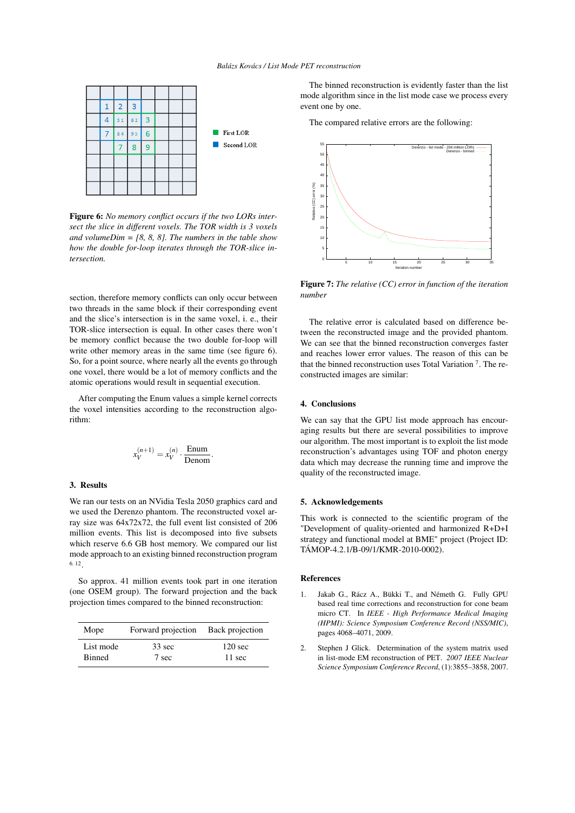

Figure 6: *No memory conflict occurs if the two LORs intersect the slice in different voxels. The TOR width is 3 voxels and volumeDim = [8, 8, 8]. The numbers in the table show how the double for-loop iterates through the TOR-slice intersection.*

section, therefore memory conflicts can only occur between two threads in the same block if their corresponding event and the slice's intersection is in the same voxel, i. e., their TOR-slice intersection is equal. In other cases there won't be memory conflict because the two double for-loop will write other memory areas in the same time (see figure 6). So, for a point source, where nearly all the events go through one voxel, there would be a lot of memory conflicts and the atomic operations would result in sequential execution.

After computing the Enum values a simple kernel corrects the voxel intensities according to the reconstruction algorithm:

$$
x_V^{(n+1)} = x_V^{(n)} \cdot \frac{\text{Enum}}{\text{Denom}}
$$

*.*

# 3. Results

We ran our tests on an NVidia Tesla 2050 graphics card and we used the Derenzo phantom. The reconstructed voxel array size was 64x72x72, the full event list consisted of 206 million events. This list is decomposed into five subsets which reserve 6.6 GB host memory. We compared our list mode approach to an existing binned reconstruction program 6*,* 12 .

So approx. 41 million events took part in one iteration (one OSEM group). The forward projection and the back projection times compared to the binned reconstruction:

| Mope          | Forward projection | Back projection   |
|---------------|--------------------|-------------------|
| List mode     | $33 \text{ sec}$   | $120 \text{ sec}$ |
| <b>Binned</b> | 7 sec              | $11 \text{ sec}$  |

The binned reconstruction is evidently faster than the list mode algorithm since in the list mode case we process every event one by one.

The compared relative errors are the following:



Figure 7: *The relative (CC) error in function of the iteration number*

The relative error is calculated based on difference between the reconstructed image and the provided phantom. We can see that the binned reconstruction converges faster and reaches lower error values. The reason of this can be that the binned reconstruction uses Total Variation <sup>7</sup> . The reconstructed images are similar:

# 4. Conclusions

We can say that the GPU list mode approach has encouraging results but there are several possibilities to improve our algorithm. The most important is to exploit the list mode reconstruction's advantages using TOF and photon energy data which may decrease the running time and improve the quality of the reconstructed image.

# 5. Acknowledgements

This work is connected to the scientific program of the "Development of quality-oriented and harmonized R+D+I strategy and functional model at BME" project (Project ID: TÁMOP-4.2.1/B-09/1/KMR-2010-0002).

#### References

- 1. Jakab G., Rácz A., Bükki T., and Németh G. Fully GPU based real time corrections and reconstruction for cone beam micro CT. In *IEEE - High Performance Medical Imaging (HPMI): Science Symposium Conference Record (NSS/MIC)*, pages 4068–4071, 2009.
- 2. Stephen J Glick. Determination of the system matrix used in list-mode EM reconstruction of PET. *2007 IEEE Nuclear Science Symposium Conference Record*, (1):3855–3858, 2007.